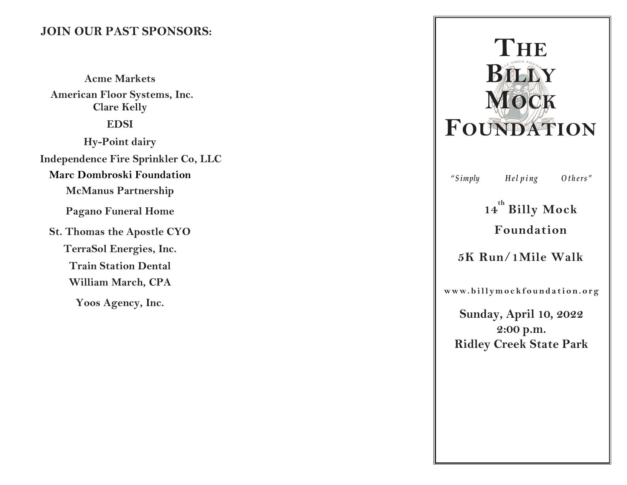# JOIN OUR PAST SPONSORS:

Acme Markets American Floor Systems, Inc. Clare Kelly EDSI Hy-Point dairy Independence Fire Sprinkler Co, LLC Marc Dombroski Foundation McManus Partnership Pagano Funeral Home St. Thomas the Apostle CYO TerraSol Energies, Inc. Train Station Dental William March, CPA